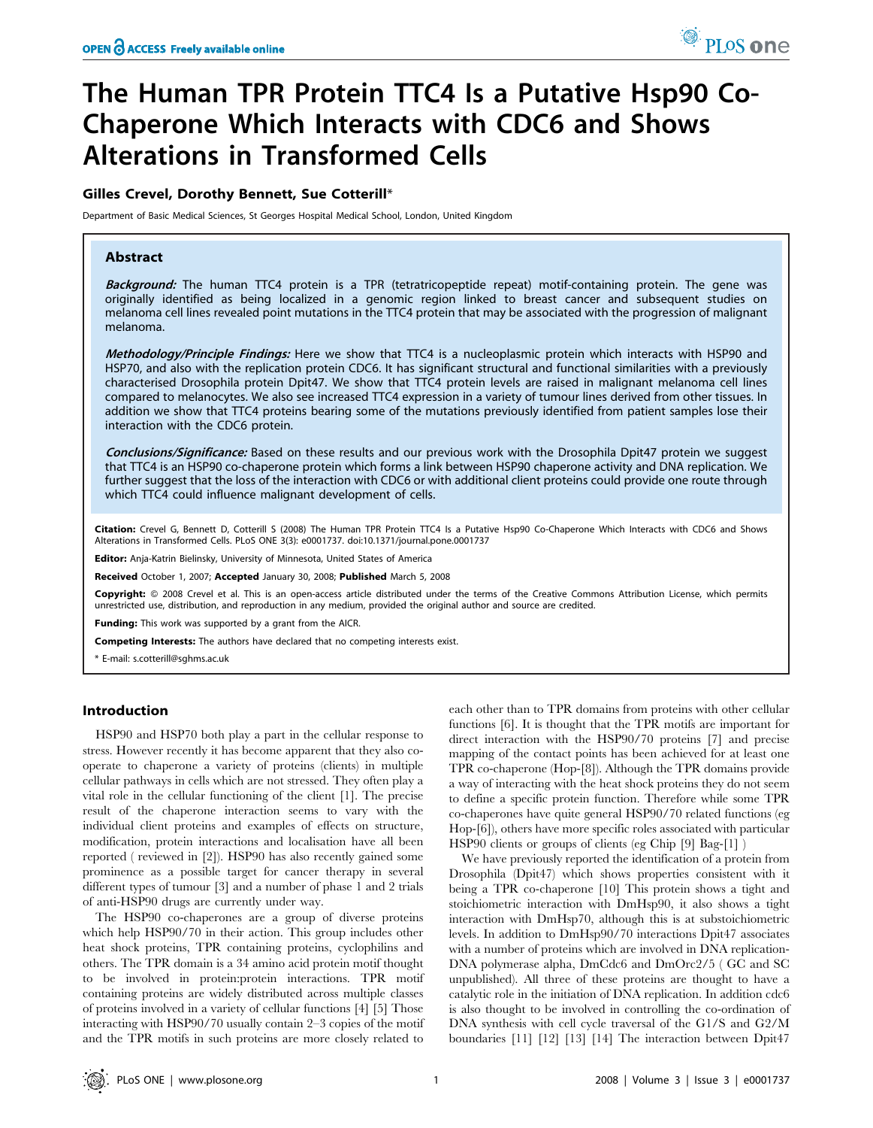# The Human TPR Protein TTC4 Is a Putative Hsp90 Co-Chaperone Which Interacts with CDC6 and Shows Alterations in Transformed Cells

## Gilles Crevel, Dorothy Bennett, Sue Cotterill\*

Department of Basic Medical Sciences, St Georges Hospital Medical School, London, United Kingdom

# Abstract

Background: The human TTC4 protein is a TPR (tetratricopeptide repeat) motif-containing protein. The gene was originally identified as being localized in a genomic region linked to breast cancer and subsequent studies on melanoma cell lines revealed point mutations in the TTC4 protein that may be associated with the progression of malignant melanoma.

Methodology/Principle Findings: Here we show that TTC4 is a nucleoplasmic protein which interacts with HSP90 and HSP70, and also with the replication protein CDC6. It has significant structural and functional similarities with a previously characterised Drosophila protein Dpit47. We show that TTC4 protein levels are raised in malignant melanoma cell lines compared to melanocytes. We also see increased TTC4 expression in a variety of tumour lines derived from other tissues. In addition we show that TTC4 proteins bearing some of the mutations previously identified from patient samples lose their interaction with the CDC6 protein.

Conclusions/Significance: Based on these results and our previous work with the Drosophila Dpit47 protein we suggest that TTC4 is an HSP90 co-chaperone protein which forms a link between HSP90 chaperone activity and DNA replication. We further suggest that the loss of the interaction with CDC6 or with additional client proteins could provide one route through which TTC4 could influence malignant development of cells.

Citation: Crevel G, Bennett D, Cotterill S (2008) The Human TPR Protein TTC4 Is a Putative Hsp90 Co-Chaperone Which Interacts with CDC6 and Shows Alterations in Transformed Cells. PLoS ONE 3(3): e0001737. doi:10.1371/journal.pone.0001737

Editor: Anja-Katrin Bielinsky, University of Minnesota, United States of America

Received October 1, 2007; Accepted January 30, 2008; Published March 5, 2008

Copyright: © 2008 Crevel et al. This is an open-access article distributed under the terms of the Creative Commons Attribution License, which permits unrestricted use, distribution, and reproduction in any medium, provided the original author and source are credited.

Funding: This work was supported by a grant from the AICR.

Competing Interests: The authors have declared that no competing interests exist.

\* E-mail: s.cotterill@sghms.ac.uk

## Introduction

HSP90 and HSP70 both play a part in the cellular response to stress. However recently it has become apparent that they also cooperate to chaperone a variety of proteins (clients) in multiple cellular pathways in cells which are not stressed. They often play a vital role in the cellular functioning of the client [1]. The precise result of the chaperone interaction seems to vary with the individual client proteins and examples of effects on structure, modification, protein interactions and localisation have all been reported ( reviewed in [2]). HSP90 has also recently gained some prominence as a possible target for cancer therapy in several different types of tumour [3] and a number of phase 1 and 2 trials of anti-HSP90 drugs are currently under way.

The HSP90 co-chaperones are a group of diverse proteins which help HSP90/70 in their action. This group includes other heat shock proteins, TPR containing proteins, cyclophilins and others. The TPR domain is a 34 amino acid protein motif thought to be involved in protein:protein interactions. TPR motif containing proteins are widely distributed across multiple classes of proteins involved in a variety of cellular functions [4] [5] Those interacting with HSP90/70 usually contain 2–3 copies of the motif and the TPR motifs in such proteins are more closely related to

each other than to TPR domains from proteins with other cellular functions [6]. It is thought that the TPR motifs are important for direct interaction with the HSP90/70 proteins [7] and precise mapping of the contact points has been achieved for at least one TPR co-chaperone (Hop-[8]). Although the TPR domains provide a way of interacting with the heat shock proteins they do not seem to define a specific protein function. Therefore while some TPR co-chaperones have quite general HSP90/70 related functions (eg Hop-[6]), others have more specific roles associated with particular HSP90 clients or groups of clients (eg Chip [9] Bag-[1] )

We have previously reported the identification of a protein from Drosophila (Dpit47) which shows properties consistent with it being a TPR co-chaperone [10] This protein shows a tight and stoichiometric interaction with DmHsp90, it also shows a tight interaction with DmHsp70, although this is at substoichiometric levels. In addition to DmHsp90/70 interactions Dpit47 associates with a number of proteins which are involved in DNA replication-DNA polymerase alpha, DmCdc6 and DmOrc2/5 ( GC and SC unpublished). All three of these proteins are thought to have a catalytic role in the initiation of DNA replication. In addition cdc6 is also thought to be involved in controlling the co-ordination of DNA synthesis with cell cycle traversal of the G1/S and G2/M boundaries [11] [12] [13] [14] The interaction between Dpit47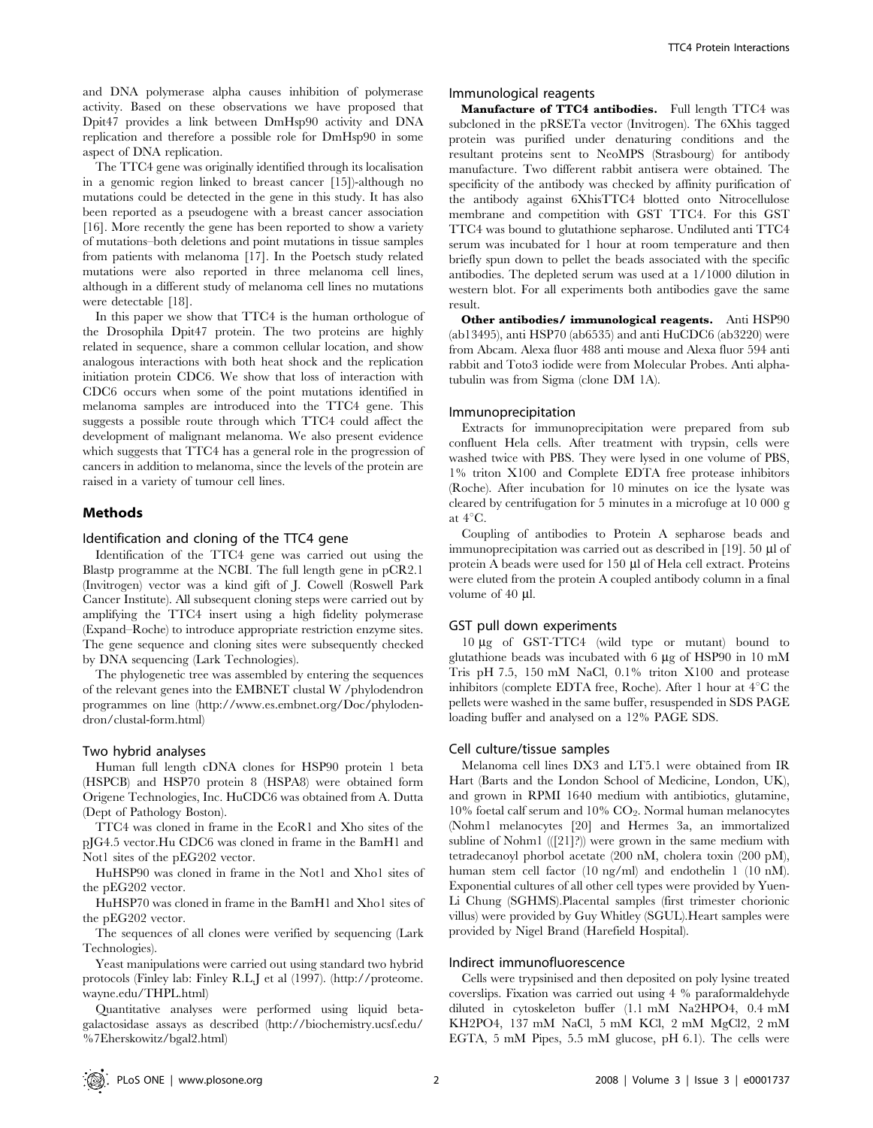and DNA polymerase alpha causes inhibition of polymerase activity. Based on these observations we have proposed that Dpit47 provides a link between DmHsp90 activity and DNA replication and therefore a possible role for DmHsp90 in some aspect of DNA replication.

The TTC4 gene was originally identified through its localisation in a genomic region linked to breast cancer [15])-although no mutations could be detected in the gene in this study. It has also been reported as a pseudogene with a breast cancer association [16]. More recently the gene has been reported to show a variety of mutations–both deletions and point mutations in tissue samples from patients with melanoma [17]. In the Poetsch study related mutations were also reported in three melanoma cell lines, although in a different study of melanoma cell lines no mutations were detectable [18].

In this paper we show that TTC4 is the human orthologue of the Drosophila Dpit47 protein. The two proteins are highly related in sequence, share a common cellular location, and show analogous interactions with both heat shock and the replication initiation protein CDC6. We show that loss of interaction with CDC6 occurs when some of the point mutations identified in melanoma samples are introduced into the TTC4 gene. This suggests a possible route through which TTC4 could affect the development of malignant melanoma. We also present evidence which suggests that TTC4 has a general role in the progression of cancers in addition to melanoma, since the levels of the protein are raised in a variety of tumour cell lines.

## Methods

## Identification and cloning of the TTC4 gene

Identification of the TTC4 gene was carried out using the Blastp programme at the NCBI. The full length gene in pCR2.1 (Invitrogen) vector was a kind gift of J. Cowell (Roswell Park Cancer Institute). All subsequent cloning steps were carried out by amplifying the TTC4 insert using a high fidelity polymerase (Expand–Roche) to introduce appropriate restriction enzyme sites. The gene sequence and cloning sites were subsequently checked by DNA sequencing (Lark Technologies).

The phylogenetic tree was assembled by entering the sequences of the relevant genes into the EMBNET clustal W /phylodendron programmes on line (http://www.es.embnet.org/Doc/phylodendron/clustal-form.html)

#### Two hybrid analyses

Human full length cDNA clones for HSP90 protein 1 beta (HSPCB) and HSP70 protein 8 (HSPA8) were obtained form Origene Technologies, Inc. HuCDC6 was obtained from A. Dutta (Dept of Pathology Boston).

TTC4 was cloned in frame in the EcoR1 and Xho sites of the pJG4.5 vector.Hu CDC6 was cloned in frame in the BamH1 and Not1 sites of the pEG202 vector.

HuHSP90 was cloned in frame in the Not1 and Xho1 sites of the pEG202 vector.

HuHSP70 was cloned in frame in the BamH1 and Xho1 sites of the pEG202 vector.

The sequences of all clones were verified by sequencing (Lark Technologies).

Yeast manipulations were carried out using standard two hybrid protocols (Finley lab: Finley R.L.J et al (1997). (http://proteome. wayne.edu/THPL.html)

Quantitative analyses were performed using liquid betagalactosidase assays as described (http://biochemistry.ucsf.edu/ %7Eherskowitz/bgal2.html)

## Immunological reagents

Manufacture of TTC4 antibodies. Full length TTC4 was subcloned in the pRSETa vector (Invitrogen). The 6Xhis tagged protein was purified under denaturing conditions and the resultant proteins sent to NeoMPS (Strasbourg) for antibody manufacture. Two different rabbit antisera were obtained. The specificity of the antibody was checked by affinity purification of the antibody against 6XhisTTC4 blotted onto Nitrocellulose membrane and competition with GST TTC4. For this GST TTC4 was bound to glutathione sepharose. Undiluted anti TTC4 serum was incubated for 1 hour at room temperature and then briefly spun down to pellet the beads associated with the specific antibodies. The depleted serum was used at a 1/1000 dilution in western blot. For all experiments both antibodies gave the same result.

Other antibodies/ immunological reagents. Anti HSP90 (ab13495), anti HSP70 (ab6535) and anti HuCDC6 (ab3220) were from Abcam. Alexa fluor 488 anti mouse and Alexa fluor 594 anti rabbit and Toto3 iodide were from Molecular Probes. Anti alphatubulin was from Sigma (clone DM 1A).

#### Immunoprecipitation

Extracts for immunoprecipitation were prepared from sub confluent Hela cells. After treatment with trypsin, cells were washed twice with PBS. They were lysed in one volume of PBS, 1% triton X100 and Complete EDTA free protease inhibitors (Roche). After incubation for 10 minutes on ice the lysate was cleared by centrifugation for 5 minutes in a microfuge at 10 000 g at  $4^{\circ}$ C.

Coupling of antibodies to Protein A sepharose beads and immunoprecipitation was carried out as described in [19]. 50 µl of protein A beads were used for 150 µl of Hela cell extract. Proteins were eluted from the protein A coupled antibody column in a final volume of 40 µl.

#### GST pull down experiments

10 mg of GST-TTC4 (wild type or mutant) bound to glutathione beads was incubated with  $6 \mu$ g of HSP90 in 10 mM Tris pH 7.5, 150 mM NaCl, 0.1% triton X100 and protease inhibitors (complete EDTA free, Roche). After 1 hour at  $4^{\circ}$ C the pellets were washed in the same buffer, resuspended in SDS PAGE loading buffer and analysed on a 12% PAGE SDS.

#### Cell culture/tissue samples

Melanoma cell lines DX3 and LT5.1 were obtained from IR Hart (Barts and the London School of Medicine, London, UK), and grown in RPMI 1640 medium with antibiotics, glutamine, 10% foetal calf serum and 10%  $CO<sub>2</sub>$ . Normal human melanocytes (Nohm1 melanocytes [20] and Hermes 3a, an immortalized subline of Nohm1 (([21]?)) were grown in the same medium with tetradecanoyl phorbol acetate (200 nM, cholera toxin (200 pM), human stem cell factor (10 ng/ml) and endothelin 1 (10 nM). Exponential cultures of all other cell types were provided by Yuen-Li Chung (SGHMS).Placental samples (first trimester chorionic villus) were provided by Guy Whitley (SGUL).Heart samples were provided by Nigel Brand (Harefield Hospital).

## Indirect immunofluorescence

Cells were trypsinised and then deposited on poly lysine treated coverslips. Fixation was carried out using 4 % paraformaldehyde diluted in cytoskeleton buffer (1.1 mM Na2HPO4, 0.4 mM KH2PO4, 137 mM NaCl, 5 mM KCl, 2 mM MgCl2, 2 mM EGTA, 5 mM Pipes, 5.5 mM glucose, pH 6.1). The cells were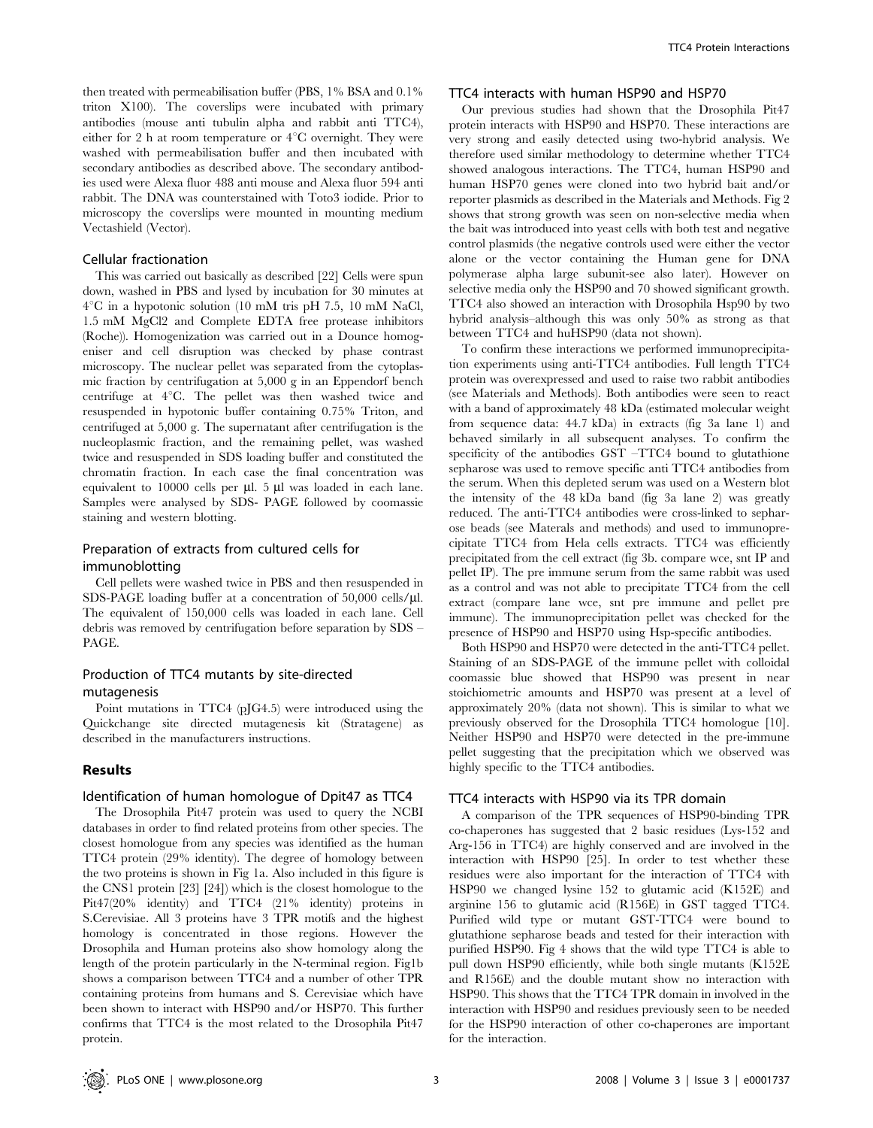then treated with permeabilisation buffer (PBS, 1% BSA and 0.1% triton X100). The coverslips were incubated with primary antibodies (mouse anti tubulin alpha and rabbit anti TTC4), either for 2 h at room temperature or  $4^{\circ}$ C overnight. They were washed with permeabilisation buffer and then incubated with secondary antibodies as described above. The secondary antibodies used were Alexa fluor 488 anti mouse and Alexa fluor 594 anti rabbit. The DNA was counterstained with Toto3 iodide. Prior to microscopy the coverslips were mounted in mounting medium Vectashield (Vector).

## Cellular fractionation

This was carried out basically as described [22] Cells were spun down, washed in PBS and lysed by incubation for 30 minutes at  $4^{\circ}$ C in a hypotonic solution (10 mM tris pH 7.5, 10 mM NaCl, 1.5 mM MgCl2 and Complete EDTA free protease inhibitors (Roche)). Homogenization was carried out in a Dounce homogeniser and cell disruption was checked by phase contrast microscopy. The nuclear pellet was separated from the cytoplasmic fraction by centrifugation at 5,000 g in an Eppendorf bench centrifuge at  $4^{\circ}$ C. The pellet was then washed twice and resuspended in hypotonic buffer containing 0.75% Triton, and centrifuged at 5,000 g. The supernatant after centrifugation is the nucleoplasmic fraction, and the remaining pellet, was washed twice and resuspended in SDS loading buffer and constituted the chromatin fraction. In each case the final concentration was equivalent to  $10000$  cells per  $\mu$ l. 5  $\mu$ l was loaded in each lane. Samples were analysed by SDS- PAGE followed by coomassie staining and western blotting.

## Preparation of extracts from cultured cells for immunoblotting

Cell pellets were washed twice in PBS and then resuspended in SDS-PAGE loading buffer at a concentration of  $50,000$  cells/ $\mu$ l. The equivalent of 150,000 cells was loaded in each lane. Cell debris was removed by centrifugation before separation by SDS – PAGE.

## Production of TTC4 mutants by site-directed mutagenesis

Point mutations in TTC4 (pJG4.5) were introduced using the Quickchange site directed mutagenesis kit (Stratagene) as described in the manufacturers instructions.

## Results

#### Identification of human homologue of Dpit47 as TTC4

The Drosophila Pit47 protein was used to query the NCBI databases in order to find related proteins from other species. The closest homologue from any species was identified as the human TTC4 protein (29% identity). The degree of homology between the two proteins is shown in Fig 1a. Also included in this figure is the CNS1 protein [23] [24]) which is the closest homologue to the Pit47(20% identity) and TTC4 (21% identity) proteins in S.Cerevisiae. All 3 proteins have 3 TPR motifs and the highest homology is concentrated in those regions. However the Drosophila and Human proteins also show homology along the length of the protein particularly in the N-terminal region. Fig1b shows a comparison between TTC4 and a number of other TPR containing proteins from humans and S. Cerevisiae which have been shown to interact with HSP90 and/or HSP70. This further confirms that TTC4 is the most related to the Drosophila Pit47 protein.

## TTC4 interacts with human HSP90 and HSP70

Our previous studies had shown that the Drosophila Pit47 protein interacts with HSP90 and HSP70. These interactions are very strong and easily detected using two-hybrid analysis. We therefore used similar methodology to determine whether TTC4 showed analogous interactions. The TTC4, human HSP90 and human HSP70 genes were cloned into two hybrid bait and/or reporter plasmids as described in the Materials and Methods. Fig 2 shows that strong growth was seen on non-selective media when the bait was introduced into yeast cells with both test and negative control plasmids (the negative controls used were either the vector alone or the vector containing the Human gene for DNA polymerase alpha large subunit-see also later). However on selective media only the HSP90 and 70 showed significant growth. TTC4 also showed an interaction with Drosophila Hsp90 by two hybrid analysis–although this was only 50% as strong as that between TTC4 and huHSP90 (data not shown).

To confirm these interactions we performed immunoprecipitation experiments using anti-TTC4 antibodies. Full length TTC4 protein was overexpressed and used to raise two rabbit antibodies (see Materials and Methods). Both antibodies were seen to react with a band of approximately 48 kDa (estimated molecular weight from sequence data: 44.7 kDa) in extracts (fig 3a lane 1) and behaved similarly in all subsequent analyses. To confirm the specificity of the antibodies GST –TTC4 bound to glutathione sepharose was used to remove specific anti TTC4 antibodies from the serum. When this depleted serum was used on a Western blot the intensity of the 48 kDa band (fig 3a lane 2) was greatly reduced. The anti-TTC4 antibodies were cross-linked to sepharose beads (see Materals and methods) and used to immunoprecipitate TTC4 from Hela cells extracts. TTC4 was efficiently precipitated from the cell extract (fig 3b. compare wce, snt IP and pellet IP). The pre immune serum from the same rabbit was used as a control and was not able to precipitate TTC4 from the cell extract (compare lane wce, snt pre immune and pellet pre immune). The immunoprecipitation pellet was checked for the presence of HSP90 and HSP70 using Hsp-specific antibodies.

Both HSP90 and HSP70 were detected in the anti-TTC4 pellet. Staining of an SDS-PAGE of the immune pellet with colloidal coomassie blue showed that HSP90 was present in near stoichiometric amounts and HSP70 was present at a level of approximately 20% (data not shown). This is similar to what we previously observed for the Drosophila TTC4 homologue [10]. Neither HSP90 and HSP70 were detected in the pre-immune pellet suggesting that the precipitation which we observed was highly specific to the TTC4 antibodies.

#### TTC4 interacts with HSP90 via its TPR domain

A comparison of the TPR sequences of HSP90-binding TPR co-chaperones has suggested that 2 basic residues (Lys-152 and Arg-156 in TTC4) are highly conserved and are involved in the interaction with HSP90 [25]. In order to test whether these residues were also important for the interaction of TTC4 with HSP90 we changed lysine 152 to glutamic acid (K152E) and arginine 156 to glutamic acid (R156E) in GST tagged TTC4. Purified wild type or mutant GST-TTC4 were bound to glutathione sepharose beads and tested for their interaction with purified HSP90. Fig 4 shows that the wild type TTC4 is able to pull down HSP90 efficiently, while both single mutants (K152E and R156E) and the double mutant show no interaction with HSP90. This shows that the TTC4 TPR domain in involved in the interaction with HSP90 and residues previously seen to be needed for the HSP90 interaction of other co-chaperones are important for the interaction.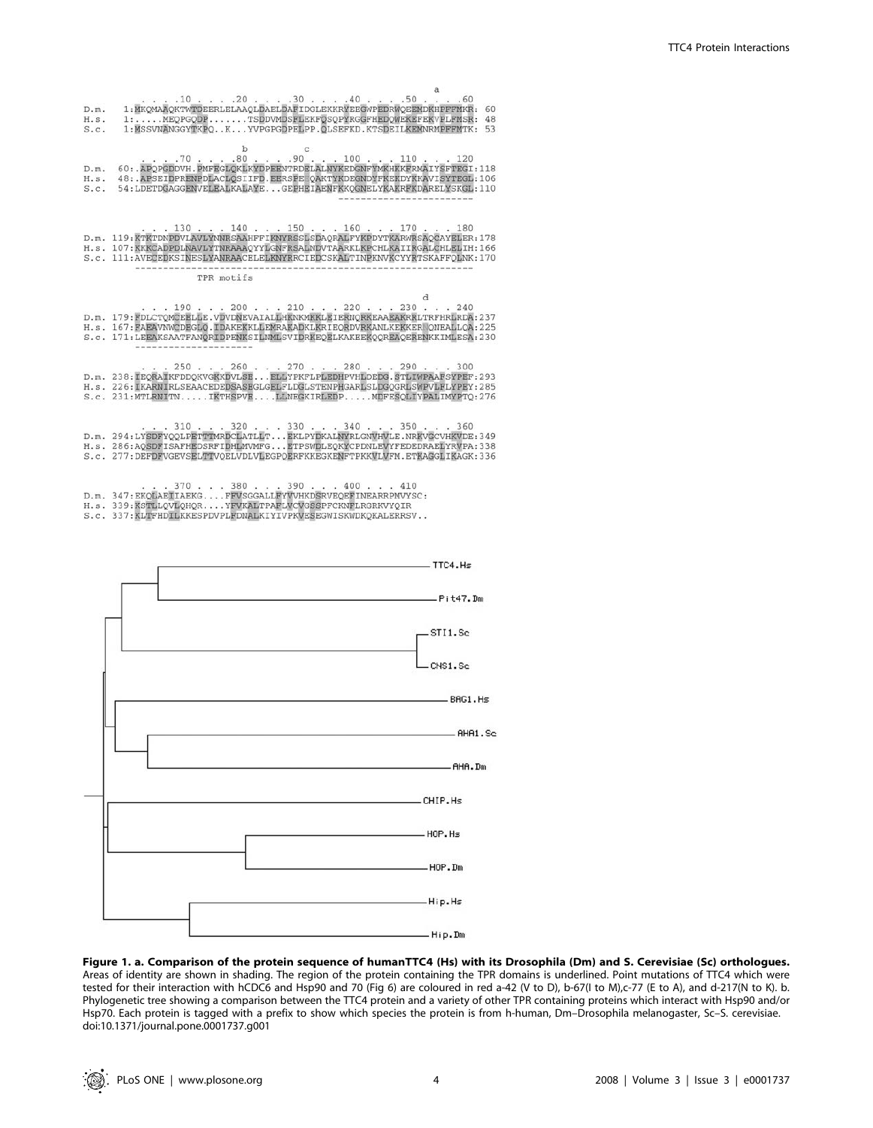| D.m.<br>H.s.<br>S.C. | 1: MKOMAAOKTWTDEERLELAAOLDAELDAFIDGLEKKRYEEGWPEDRWOEEMDKHPFFMKR:<br>60<br>1:MEOPGODPTSDDVMDSFLEKFOSOPYRGGFHEDOWEKEFEKVPLFMSR:<br>48<br>1:MSSVNANGGYTKPOKYVPGPGDPELPP.OLSEFKD.KTSDEILKEMNRMPFFMTK: 53                                                                                                            |
|----------------------|-----------------------------------------------------------------------------------------------------------------------------------------------------------------------------------------------------------------------------------------------------------------------------------------------------------------|
| D.m.<br>H.s.<br>S.C. | b<br>C<br>. 70 80 90 100 110 120<br>60: . APOPGDDVH. PMFEGLOKLKYDPEENTRDELALNYKEDGNFYMKHKKFRMAIYSFTEGI: 118<br>48: . APSEIDPRENPDLACLOSIIFD. EERSPEFOAKTYKDEGNDYFKEKDYKKAVISYTEGL: 106<br>54: LDETDGAGGENVELEALKALAYE GEPHEIAENFKKOGNELYKAKRFKDARELYSKGL: 110                                                   |
|                      | 1.130.1.140.1.150.1.160.1.170.1.180<br>D.m. 119:KTKTDNPDVLAVLYNNRSAAHFFIKNYRSSLSDAORALFYKPDYTKARWRSAOCAYELER:178<br>H.s. 107: KKKCADPDLNAVLYTNRAAAOYYLGNFRSALNDVTAARKLKPCHLKAIIRGALCHLELIH: 166<br>S.c. 111:AVECEDKSINESLYANRAACELELKNYRRCIEDCSKALTINPKNVKCYYRTSKAFFOLNK:170                                    |
|                      | TPR motifs                                                                                                                                                                                                                                                                                                      |
|                      | d<br>1.190.1200.1120.1210.1220.1230.1240<br>D.m. 179: FDLCTOMCEELLE.VDVDNEVAIALLHKNKMKKLEIERNORKEAAEAKRRLTRFHRLRDA: 237<br>H.s. 167: FAEAVNWCDEGLO.IDAKEKKLLEMRAKADKLKRIEORDVRKANLKEKKER ONEALLOA: 225<br>S.c. 171:LEEAKSAATFANORIDPENKSILNMLSVIDRKEOELKAKEEKOOREAOERENKKIMLESA:230                             |
|                      | $\ldots$ 250 $\ldots$ 260 $\ldots$ 270 $\ldots$ 280 $\ldots$ 290 $\ldots$ 300<br>D.m. 238: IEORAIKFDDOKVGKKDVLSE ELLYPKFLPLEDHPVHLDEDG. STLIWPAAFSYPEF: 293<br>H.s. 226: IKARNIRLSEAACEDEDSASEGLGELFLDGLSTENPHGARLSLDGOGRLSWPVLFLYPEY: 285<br>S.c. 231:MTLRNITNIKTHSPVELLNEGKIRLEDPMDFESOLIYPALIMYPTO:276       |
|                      | $\ldots$ 310 $\ldots$ 320 $\ldots$ 330 $\ldots$ 340 $\ldots$ 350 $\ldots$ 360<br>D.m. 294:LYSDFYQQLPETTTMRDCLATLLT EKLPYDKALNYRLGNVHVLE.NRKVGCVHKVDE:349<br>H.s. 286:AOSDFISAFHEDSRFIDHLMVMFGETPSWDLEQKYCPDNLEVYFEDEDRAELYRVPA:338<br>S.c. 277:DEFDFVGEVSELTTVOELVDLVLEGPOERFKKEGKENFTPKKVLVFM.ETKAGGLIKAGK:336 |
|                      | $\ldots$ 370 $\ldots$ 380 $\ldots$ 390 $\ldots$ 400 $\ldots$ 410<br>D.m. 347: EKOLAETIAEKG FFVSGGALLFYVVHKDSRVEOEFINEARRPMVYSC:<br>H.s. 339:KSTLLOVLOHORYFVKALTPAFLVCVGSSPFCKNFLRGRKVYOIR<br>S.c. 337: KLTFHDILKKESPDVPLFDNALKIYIVPKVESEGWISKWDKOKALERRSV                                                       |



Figure 1. a. Comparison of the protein sequence of humanTTC4 (Hs) with its Drosophila (Dm) and S. Cerevisiae (Sc) orthologues. Areas of identity are shown in shading. The region of the protein containing the TPR domains is underlined. Point mutations of TTC4 which were tested for their interaction with hCDC6 and Hsp90 and 70 (Fig 6) are coloured in red a-42 (V to D), b-67(I to M),c-77 (E to A), and d-217(N to K). b. Phylogenetic tree showing a comparison between the TTC4 protein and a variety of other TPR containing proteins which interact with Hsp90 and/or Hsp70. Each protein is tagged with a prefix to show which species the protein is from h-human, Dm–Drosophila melanogaster, Sc–S. cerevisiae. doi:10.1371/journal.pone.0001737.g001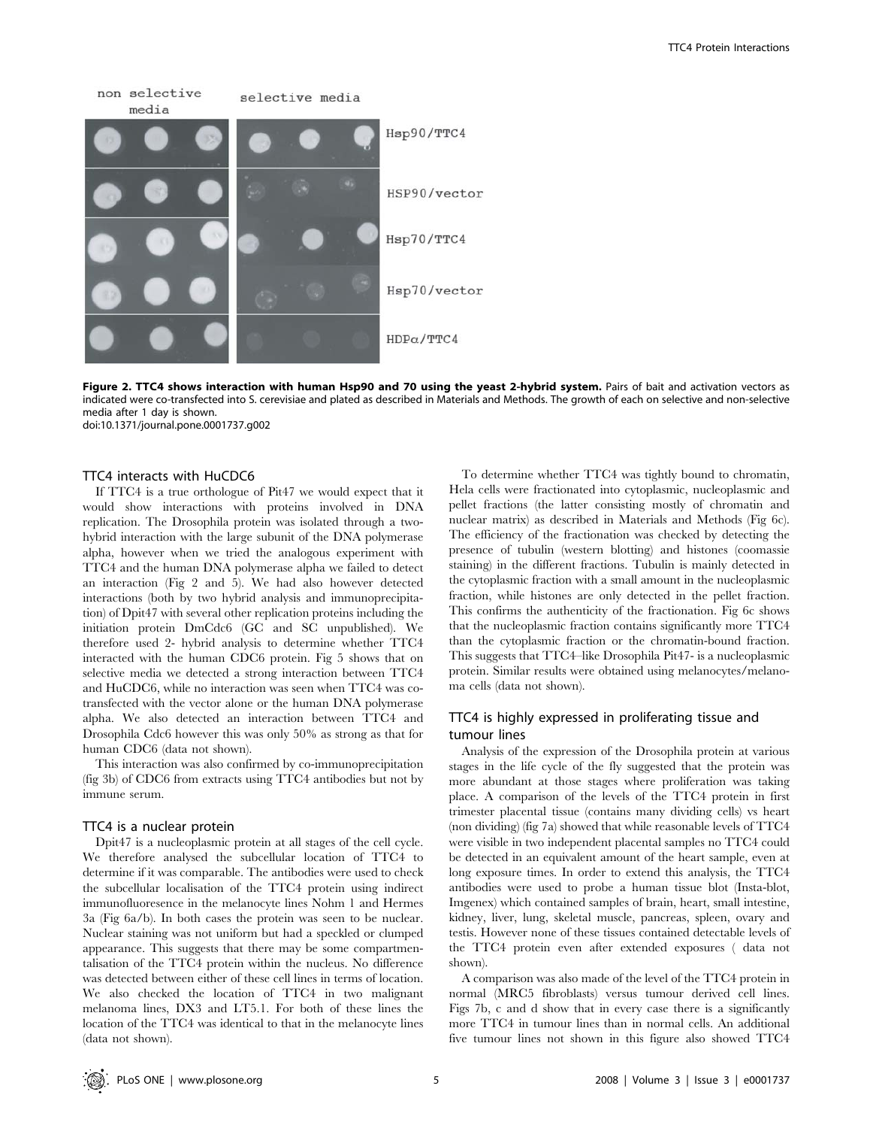

Figure 2. TTC4 shows interaction with human Hsp90 and 70 using the yeast 2-hybrid system. Pairs of bait and activation vectors as indicated were co-transfected into S. cerevisiae and plated as described in Materials and Methods. The growth of each on selective and non-selective media after 1 day is shown. doi:10.1371/journal.pone.0001737.g002

## TTC4 interacts with HuCDC6

If TTC4 is a true orthologue of Pit47 we would expect that it would show interactions with proteins involved in DNA replication. The Drosophila protein was isolated through a twohybrid interaction with the large subunit of the DNA polymerase alpha, however when we tried the analogous experiment with TTC4 and the human DNA polymerase alpha we failed to detect an interaction (Fig 2 and 5). We had also however detected interactions (both by two hybrid analysis and immunoprecipitation) of Dpit47 with several other replication proteins including the initiation protein DmCdc6 (GC and SC unpublished). We therefore used 2- hybrid analysis to determine whether TTC4 interacted with the human CDC6 protein. Fig 5 shows that on selective media we detected a strong interaction between TTC4 and HuCDC6, while no interaction was seen when TTC4 was cotransfected with the vector alone or the human DNA polymerase alpha. We also detected an interaction between TTC4 and Drosophila Cdc6 however this was only 50% as strong as that for human CDC6 (data not shown).

This interaction was also confirmed by co-immunoprecipitation (fig 3b) of CDC6 from extracts using TTC4 antibodies but not by immune serum.

## TTC4 is a nuclear protein

Dpit47 is a nucleoplasmic protein at all stages of the cell cycle. We therefore analysed the subcellular location of TTC4 to determine if it was comparable. The antibodies were used to check the subcellular localisation of the TTC4 protein using indirect immunofluoresence in the melanocyte lines Nohm 1 and Hermes 3a (Fig 6a/b). In both cases the protein was seen to be nuclear. Nuclear staining was not uniform but had a speckled or clumped appearance. This suggests that there may be some compartmentalisation of the TTC4 protein within the nucleus. No difference was detected between either of these cell lines in terms of location. We also checked the location of TTC4 in two malignant melanoma lines, DX3 and LT5.1. For both of these lines the location of the TTC4 was identical to that in the melanocyte lines (data not shown).

To determine whether TTC4 was tightly bound to chromatin, Hela cells were fractionated into cytoplasmic, nucleoplasmic and pellet fractions (the latter consisting mostly of chromatin and nuclear matrix) as described in Materials and Methods (Fig 6c). The efficiency of the fractionation was checked by detecting the presence of tubulin (western blotting) and histones (coomassie staining) in the different fractions. Tubulin is mainly detected in the cytoplasmic fraction with a small amount in the nucleoplasmic fraction, while histones are only detected in the pellet fraction. This confirms the authenticity of the fractionation. Fig 6c shows that the nucleoplasmic fraction contains significantly more TTC4 than the cytoplasmic fraction or the chromatin-bound fraction. This suggests that TTC4–like Drosophila Pit47- is a nucleoplasmic protein. Similar results were obtained using melanocytes/melanoma cells (data not shown).

# TTC4 is highly expressed in proliferating tissue and tumour lines

Analysis of the expression of the Drosophila protein at various stages in the life cycle of the fly suggested that the protein was more abundant at those stages where proliferation was taking place. A comparison of the levels of the TTC4 protein in first trimester placental tissue (contains many dividing cells) vs heart (non dividing) (fig 7a) showed that while reasonable levels of TTC4 were visible in two independent placental samples no TTC4 could be detected in an equivalent amount of the heart sample, even at long exposure times. In order to extend this analysis, the TTC4 antibodies were used to probe a human tissue blot (Insta-blot, Imgenex) which contained samples of brain, heart, small intestine, kidney, liver, lung, skeletal muscle, pancreas, spleen, ovary and testis. However none of these tissues contained detectable levels of the TTC4 protein even after extended exposures ( data not shown).

A comparison was also made of the level of the TTC4 protein in normal (MRC5 fibroblasts) versus tumour derived cell lines. Figs 7b, c and d show that in every case there is a significantly more TTC4 in tumour lines than in normal cells. An additional five tumour lines not shown in this figure also showed TTC4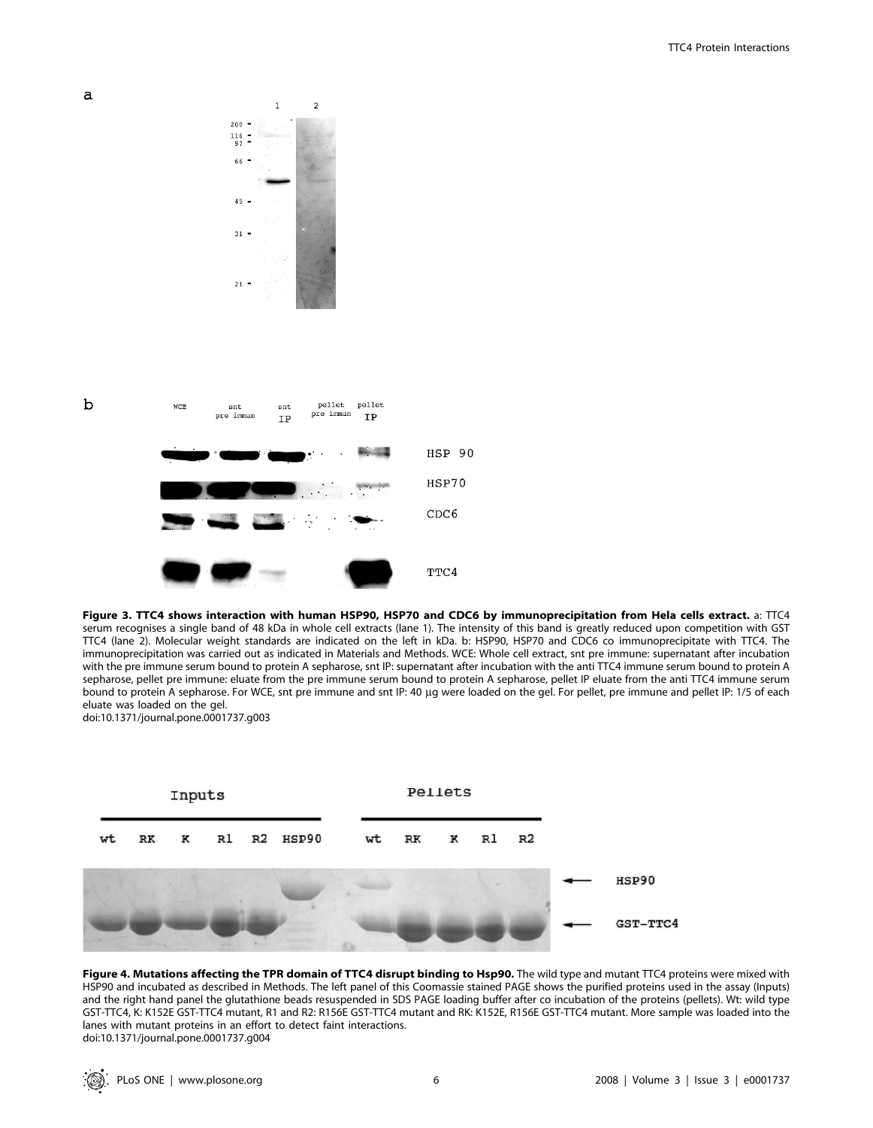



Figure 3. TTC4 shows interaction with human HSP90, HSP70 and CDC6 by immunoprecipitation from Hela cells extract. a: TTC4 serum recognises a single band of 48 kDa in whole cell extracts (lane 1). The intensity of this band is greatly reduced upon competition with GST TTC4 (lane 2). Molecular weight standards are indicated on the left in kDa. b: HSP90, HSP70 and CDC6 co immunoprecipitate with TTC4. The immunoprecipitation was carried out as indicated in Materials and Methods. WCE: Whole cell extract, snt pre immune: supernatant after incubation with the pre immune serum bound to protein A sepharose, snt IP: supernatant after incubation with the anti TTC4 immune serum bound to protein A sepharose, pellet pre immune: eluate from the pre immune serum bound to protein A sepharose, pellet IP eluate from the anti TTC4 immune serum bound to protein A sepharose. For WCE, snt pre immune and snt IP: 40 µg were loaded on the gel. For pellet, pre immune and pellet IP: 1/5 of each eluate was loaded on the gel. doi:10.1371/journal.pone.0001737.g003



Figure 4. Mutations affecting the TPR domain of TTC4 disrupt binding to Hsp90. The wild type and mutant TTC4 proteins were mixed with HSP90 and incubated as described in Methods. The left panel of this Coomassie stained PAGE shows the purified proteins used in the assay (Inputs) and the right hand panel the glutathione beads resuspended in SDS PAGE loading buffer after co incubation of the proteins (pellets). Wt: wild type GST-TTC4, K: K152E GST-TTC4 mutant, R1 and R2: R156E GST-TTC4 mutant and RK: K152E, R156E GST-TTC4 mutant. More sample was loaded into the lanes with mutant proteins in an effort to detect faint interactions. doi:10.1371/journal.pone.0001737.g004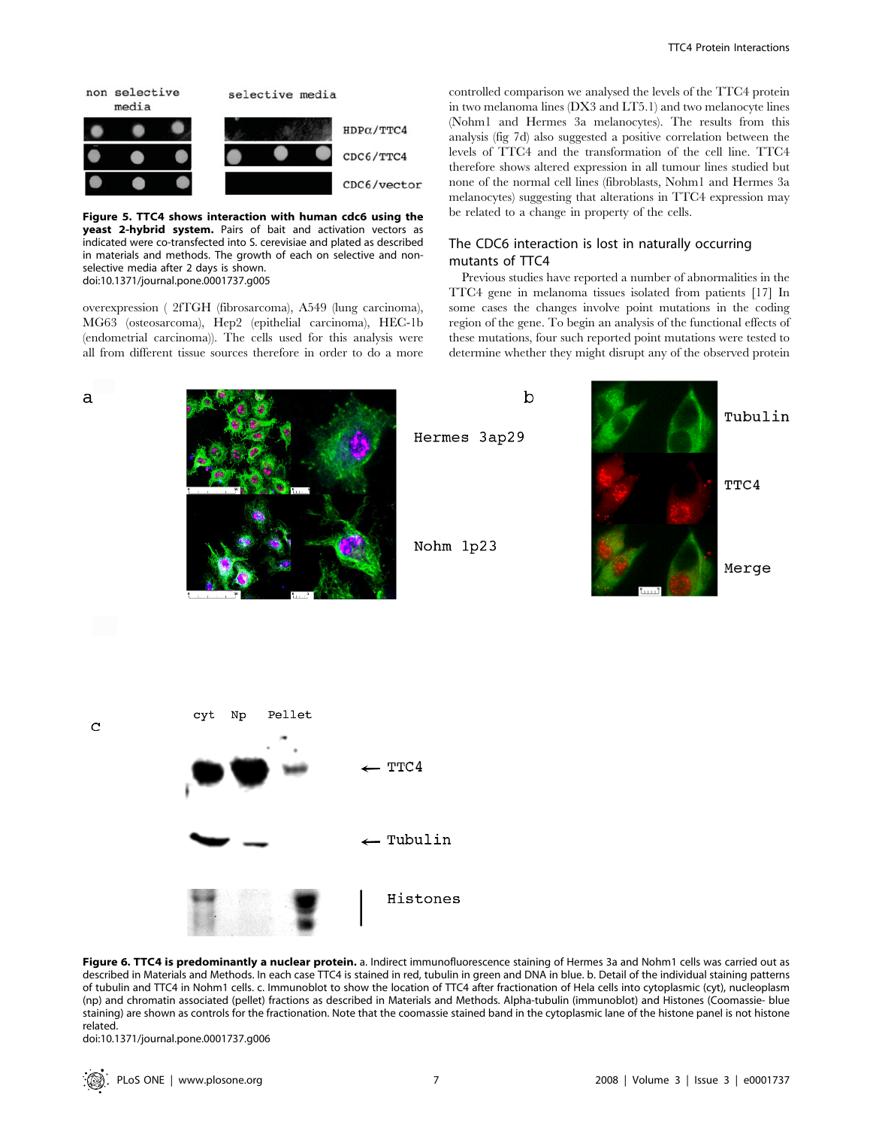

Figure 5. TTC4 shows interaction with human cdc6 using the yeast 2-hybrid system. Pairs of bait and activation vectors as indicated were co-transfected into S. cerevisiae and plated as described in materials and methods. The growth of each on selective and nonselective media after 2 days is shown. doi:10.1371/journal.pone.0001737.g005

overexpression ( 2fTGH (fibrosarcoma), A549 (lung carcinoma), MG63 (osteosarcoma), Hep2 (epithelial carcinoma), HEC-1b (endometrial carcinoma)). The cells used for this analysis were all from different tissue sources therefore in order to do a more

controlled comparison we analysed the levels of the TTC4 protein in two melanoma lines (DX3 and LT5.1) and two melanocyte lines (Nohm1 and Hermes 3a melanocytes). The results from this analysis (fig 7d) also suggested a positive correlation between the levels of TTC4 and the transformation of the cell line. TTC4 therefore shows altered expression in all tumour lines studied but none of the normal cell lines (fibroblasts, Nohm1 and Hermes 3a melanocytes) suggesting that alterations in TTC4 expression may be related to a change in property of the cells.

# The CDC6 interaction is lost in naturally occurring mutants of TTC4

Previous studies have reported a number of abnormalities in the TTC4 gene in melanoma tissues isolated from patients [17] In some cases the changes involve point mutations in the coding region of the gene. To begin an analysis of the functional effects of these mutations, four such reported point mutations were tested to determine whether they might disrupt any of the observed protein



Figure 6. TTC4 is predominantly a nuclear protein. a. Indirect immunofluorescence staining of Hermes 3a and Nohm1 cells was carried out as described in Materials and Methods. In each case TTC4 is stained in red, tubulin in green and DNA in blue. b. Detail of the individual staining patterns of tubulin and TTC4 in Nohm1 cells. c. Immunoblot to show the location of TTC4 after fractionation of Hela cells into cytoplasmic (cyt), nucleoplasm (np) and chromatin associated (pellet) fractions as described in Materials and Methods. Alpha-tubulin (immunoblot) and Histones (Coomassie- blue staining) are shown as controls for the fractionation. Note that the coomassie stained band in the cytoplasmic lane of the histone panel is not histone related.

doi:10.1371/journal.pone.0001737.g006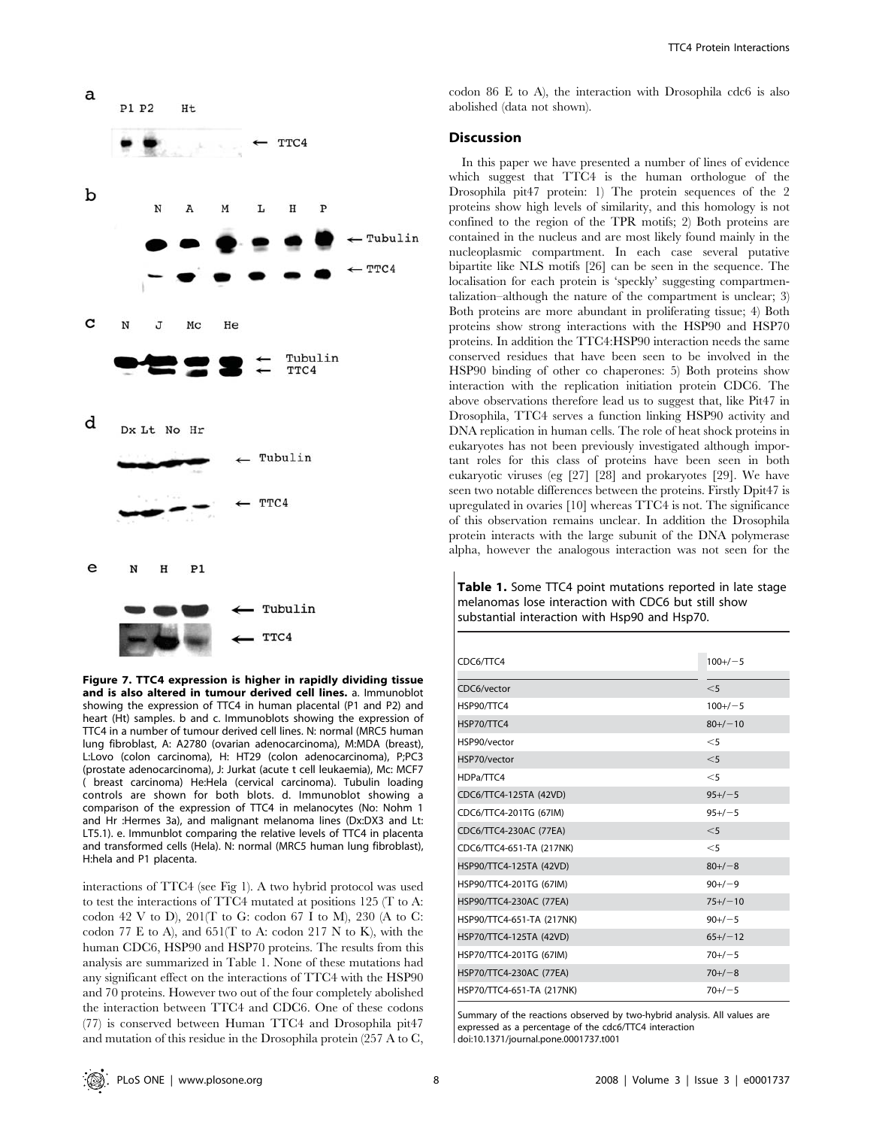

Figure 7. TTC4 expression is higher in rapidly dividing tissue and is also altered in tumour derived cell lines. a. Immunoblot showing the expression of TTC4 in human placental (P1 and P2) and heart (Ht) samples. b and c. Immunoblots showing the expression of TTC4 in a number of tumour derived cell lines. N: normal (MRC5 human lung fibroblast, A: A2780 (ovarian adenocarcinoma), M:MDA (breast), L:Lovo (colon carcinoma), H: HT29 (colon adenocarcinoma), P;PC3 (prostate adenocarcinoma), J: Jurkat (acute t cell leukaemia), Mc: MCF7 ( breast carcinoma) He:Hela (cervical carcinoma). Tubulin loading controls are shown for both blots. d. Immunoblot showing a comparison of the expression of TTC4 in melanocytes (No: Nohm 1 and Hr :Hermes 3a), and malignant melanoma lines (Dx:DX3 and Lt: LT5.1). e. Immunblot comparing the relative levels of TTC4 in placenta and transformed cells (Hela). N: normal (MRC5 human lung fibroblast), H:hela and P1 placenta.

interactions of TTC4 (see Fig 1). A two hybrid protocol was used to test the interactions of TTC4 mutated at positions 125 (T to A: codon 42 V to D),  $201(T$  to G: codon 67 I to M),  $230$  (A to C: codon 77 E to A), and  $651$ (T to A: codon 217 N to K), with the human CDC6, HSP90 and HSP70 proteins. The results from this analysis are summarized in Table 1. None of these mutations had any significant effect on the interactions of TTC4 with the HSP90 and 70 proteins. However two out of the four completely abolished the interaction between TTC4 and CDC6. One of these codons (77) is conserved between Human TTC4 and Drosophila pit47 and mutation of this residue in the Drosophila protein (257 A to C,

codon 86 E to A), the interaction with Drosophila cdc6 is also abolished (data not shown).

## **Discussion**

In this paper we have presented a number of lines of evidence which suggest that TTC4 is the human orthologue of the Drosophila pit47 protein: 1) The protein sequences of the 2 proteins show high levels of similarity, and this homology is not confined to the region of the TPR motifs; 2) Both proteins are contained in the nucleus and are most likely found mainly in the nucleoplasmic compartment. In each case several putative bipartite like NLS motifs [26] can be seen in the sequence. The localisation for each protein is 'speckly' suggesting compartmentalization–although the nature of the compartment is unclear; 3) Both proteins are more abundant in proliferating tissue; 4) Both proteins show strong interactions with the HSP90 and HSP70 proteins. In addition the TTC4:HSP90 interaction needs the same conserved residues that have been seen to be involved in the HSP90 binding of other co chaperones: 5) Both proteins show interaction with the replication initiation protein CDC6. The above observations therefore lead us to suggest that, like Pit47 in Drosophila, TTC4 serves a function linking HSP90 activity and DNA replication in human cells. The role of heat shock proteins in eukaryotes has not been previously investigated although important roles for this class of proteins have been seen in both eukaryotic viruses (eg [27] [28] and prokaryotes [29]. We have seen two notable differences between the proteins. Firstly Dpit47 is upregulated in ovaries [10] whereas TTC4 is not. The significance of this observation remains unclear. In addition the Drosophila protein interacts with the large subunit of the DNA polymerase alpha, however the analogous interaction was not seen for the

Table 1. Some TTC4 point mutations reported in late stage melanomas lose interaction with CDC6 but still show substantial interaction with Hsp90 and Hsp70.

| CDC6/TTC4                 | $100+/-5$ |
|---------------------------|-----------|
|                           |           |
| CDC6/vector               | $<$ 5     |
| HSP90/TTC4                | $100+/-5$ |
| HSP70/TTC4                | $80+/-10$ |
| HSP90/vector              | $<$ 5     |
| HSP70/vector              | $<$ 5     |
| HDPa/TTC4                 | $<$ 5     |
| CDC6/TTC4-125TA (42VD)    | $95+/-5$  |
| CDC6/TTC4-201TG (67IM)    | $95+/-5$  |
| CDC6/TTC4-230AC (77EA)    | $<$ 5     |
| CDC6/TTC4-651-TA (217NK)  | $<$ 5     |
| HSP90/TTC4-125TA (42VD)   | $80+/-8$  |
| HSP90/TTC4-201TG (67IM)   | $90+/-9$  |
| HSP90/TTC4-230AC (77EA)   | $75+/-10$ |
| HSP90/TTC4-651-TA (217NK) | $90+/-5$  |
| HSP70/TTC4-125TA (42VD)   | $65+/-12$ |
| HSP70/TTC4-201TG (67IM)   | $70+/-5$  |
| HSP70/TTC4-230AC (77EA)   | $70+/-8$  |
| HSP70/TTC4-651-TA (217NK) | $70+/-5$  |

Summary of the reactions observed by two-hybrid analysis. All values are expressed as a percentage of the cdc6/TTC4 interaction doi:10.1371/journal.pone.0001737.t001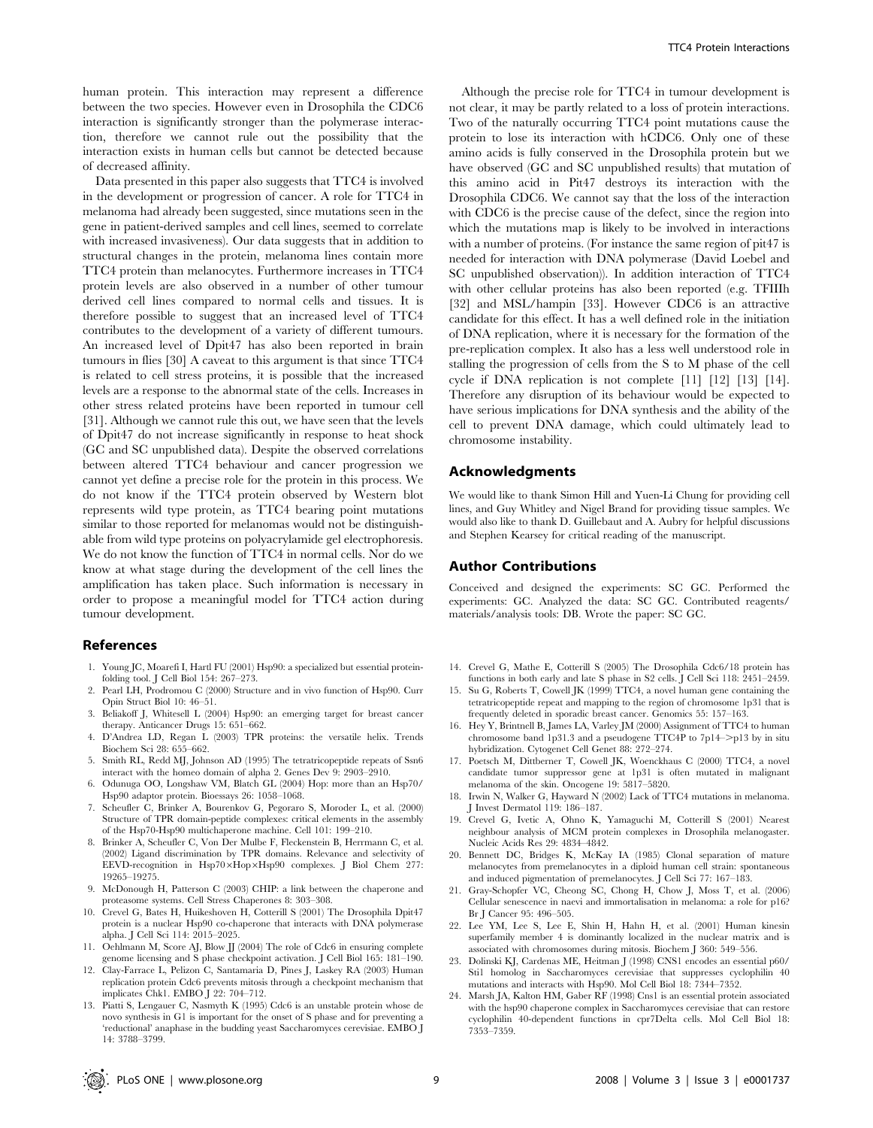human protein. This interaction may represent a difference between the two species. However even in Drosophila the CDC6 interaction is significantly stronger than the polymerase interaction, therefore we cannot rule out the possibility that the interaction exists in human cells but cannot be detected because of decreased affinity.

Data presented in this paper also suggests that TTC4 is involved in the development or progression of cancer. A role for TTC4 in melanoma had already been suggested, since mutations seen in the gene in patient-derived samples and cell lines, seemed to correlate with increased invasiveness). Our data suggests that in addition to structural changes in the protein, melanoma lines contain more TTC4 protein than melanocytes. Furthermore increases in TTC4 protein levels are also observed in a number of other tumour derived cell lines compared to normal cells and tissues. It is therefore possible to suggest that an increased level of TTC4 contributes to the development of a variety of different tumours. An increased level of Dpit47 has also been reported in brain tumours in flies [30] A caveat to this argument is that since TTC4 is related to cell stress proteins, it is possible that the increased levels are a response to the abnormal state of the cells. Increases in other stress related proteins have been reported in tumour cell [31]. Although we cannot rule this out, we have seen that the levels of Dpit47 do not increase significantly in response to heat shock (GC and SC unpublished data). Despite the observed correlations between altered TTC4 behaviour and cancer progression we cannot yet define a precise role for the protein in this process. We do not know if the TTC4 protein observed by Western blot represents wild type protein, as TTC4 bearing point mutations similar to those reported for melanomas would not be distinguishable from wild type proteins on polyacrylamide gel electrophoresis. We do not know the function of TTC4 in normal cells. Nor do we know at what stage during the development of the cell lines the amplification has taken place. Such information is necessary in order to propose a meaningful model for TTC4 action during tumour development.

## References

- 1. Young JC, Moarefi I, Hartl FU (2001) Hsp90: a specialized but essential proteinfolding tool. J Cell Biol 154: 267–273.
- 2. Pearl LH, Prodromou C (2000) Structure and in vivo function of Hsp90. Curr Opin Struct Biol 10: 46–51.
- 3. Beliakoff J, Whitesell L (2004) Hsp90: an emerging target for breast cancer therapy. Anticancer Drugs 15: 651–662.
- 4. D'Andrea LD, Regan L (2003) TPR proteins: the versatile helix. Trends Biochem Sci 28: 655–662.
- 5. Smith RL, Redd MJ, Johnson AD (1995) The tetratricopeptide repeats of Ssn6 interact with the homeo domain of alpha 2. Genes Dev 9: 2903–2910.
- 6. Odunuga OO, Longshaw VM, Blatch GL (2004) Hop: more than an Hsp70/ Hsp90 adaptor protein. Bioessays 26: 1058–1068.
- 7. Scheufler C, Brinker A, Bourenkov G, Pegoraro S, Moroder L, et al. (2000) Structure of TPR domain-peptide complexes: critical elements in the assembly of the Hsp70-Hsp90 multichaperone machine. Cell 101: 199–210.
- 8. Brinker A, Scheufler C, Von Der Mulbe F, Fleckenstein B, Herrmann C, et al. (2002) Ligand discrimination by TPR domains. Relevance and selectivity of EEVD-recognition in Hsp70 $\times$ Hop $\times$ Hsp90 complexes. J Biol Chem 277: 19265–19275.
- 9. McDonough H, Patterson C (2003) CHIP: a link between the chaperone and proteasome systems. Cell Stress Chaperones 8: 303–308.
- 10. Crevel G, Bates H, Huikeshoven H, Cotterill S (2001) The Drosophila Dpit47 protein is a nuclear Hsp90 co-chaperone that interacts with DNA polymerase alpha. J Cell Sci 114: 2015–2025.
- 11. Oehlmann M, Score AJ, Blow JJ (2004) The role of Cdc6 in ensuring complete genome licensing and S phase checkpoint activation. J Cell Biol 165: 181–190.
- 12. Clay-Farrace L, Pelizon C, Santamaria D, Pines J, Laskey RA (2003) Human replication protein Cdc6 prevents mitosis through a checkpoint mechanism that implicates Chk1. EMBO I 22: 704-712.
- 13. Piatti S, Lengauer C, Nasmyth K (1995) Cdc6 is an unstable protein whose de novo synthesis in G1 is important for the onset of S phase and for preventing a 'reductional' anaphase in the budding yeast Saccharomyces cerevisiae. EMBO J 14: 3788–3799.

Although the precise role for TTC4 in tumour development is not clear, it may be partly related to a loss of protein interactions. Two of the naturally occurring TTC4 point mutations cause the protein to lose its interaction with hCDC6. Only one of these amino acids is fully conserved in the Drosophila protein but we have observed (GC and SC unpublished results) that mutation of this amino acid in Pit47 destroys its interaction with the Drosophila CDC6. We cannot say that the loss of the interaction with CDC6 is the precise cause of the defect, since the region into which the mutations map is likely to be involved in interactions with a number of proteins. (For instance the same region of pit47 is needed for interaction with DNA polymerase (David Loebel and SC unpublished observation)). In addition interaction of TTC4 with other cellular proteins has also been reported (e.g. TFIIIh [32] and MSL/hampin [33]. However CDC6 is an attractive candidate for this effect. It has a well defined role in the initiation of DNA replication, where it is necessary for the formation of the pre-replication complex. It also has a less well understood role in stalling the progression of cells from the S to M phase of the cell cycle if DNA replication is not complete [11] [12] [13] [14]. Therefore any disruption of its behaviour would be expected to have serious implications for DNA synthesis and the ability of the cell to prevent DNA damage, which could ultimately lead to chromosome instability.

## Acknowledgments

We would like to thank Simon Hill and Yuen-Li Chung for providing cell lines, and Guy Whitley and Nigel Brand for providing tissue samples. We would also like to thank D. Guillebaut and A. Aubry for helpful discussions and Stephen Kearsey for critical reading of the manuscript.

## Author Contributions

Conceived and designed the experiments: SC GC. Performed the experiments: GC. Analyzed the data: SC GC. Contributed reagents/ materials/analysis tools: DB. Wrote the paper: SC GC.

- 14. Crevel G, Mathe E, Cotterill S (2005) The Drosophila Cdc6/18 protein has functions in both early and late S phase in S2 cells. J Cell Sci 118: 2451–2459.
- 15. Su G, Roberts T, Cowell JK (1999) TTC4, a novel human gene containing the tetratricopeptide repeat and mapping to the region of chromosome 1p31 that is frequently deleted in sporadic breast cancer. Genomics 55: 157–163.
- 16. Hey Y, Brintnell B, James LA, Varley JM (2000) Assignment of TTC4 to human chromosome band 1p31.3 and a pseudogene TTC4P to 7p14–>p13 by in situ hybridization. Cytogenet Cell Genet 88: 272–274.
- 17. Poetsch M, Dittberner T, Cowell JK, Woenckhaus C (2000) TTC4, a novel candidate tumor suppressor gene at 1p31 is often mutated in malignant melanoma of the skin. Oncogene 19: 5817–5820.
- 18. Irwin N, Walker G, Hayward N (2002) Lack of TTC4 mutations in melanoma. J Invest Dermatol 119: 186–187.
- 19. Crevel G, Ivetic A, Ohno K, Yamaguchi M, Cotterill S (2001) Nearest neighbour analysis of MCM protein complexes in Drosophila melanogaster. Nucleic Acids Res 29: 4834–4842.
- 20. Bennett DC, Bridges K, McKay IA (1985) Clonal separation of mature melanocytes from premelanocytes in a diploid human cell strain: spontaneous and induced pigmentation of premelanocytes. J Cell Sci 77: 167–183.
- 21. Gray-Schopfer VC, Cheong SC, Chong H, Chow J, Moss T, et al. (2006) Cellular senescence in naevi and immortalisation in melanoma: a role for p16? Br J Cancer 95: 496–505.
- 22. Lee YM, Lee S, Lee E, Shin H, Hahn H, et al. (2001) Human kinesin superfamily member 4 is dominantly localized in the nuclear matrix and is associated with chromosomes during mitosis. Biochem J 360: 549–556.
- 23. Dolinski KJ, Cardenas ME, Heitman J (1998) CNS1 encodes an essential p60/ Sti1 homolog in Saccharomyces cerevisiae that suppresses cyclophilin 40 mutations and interacts with Hsp90. Mol Cell Biol 18: 7344–7352.
- 24. Marsh JA, Kalton HM, Gaber RF (1998) Cns1 is an essential protein associated with the hsp90 chaperone complex in Saccharomyces cerevisiae that can restore cyclophilin 40-dependent functions in cpr7Delta cells. Mol Cell Biol 18: 7353–7359.